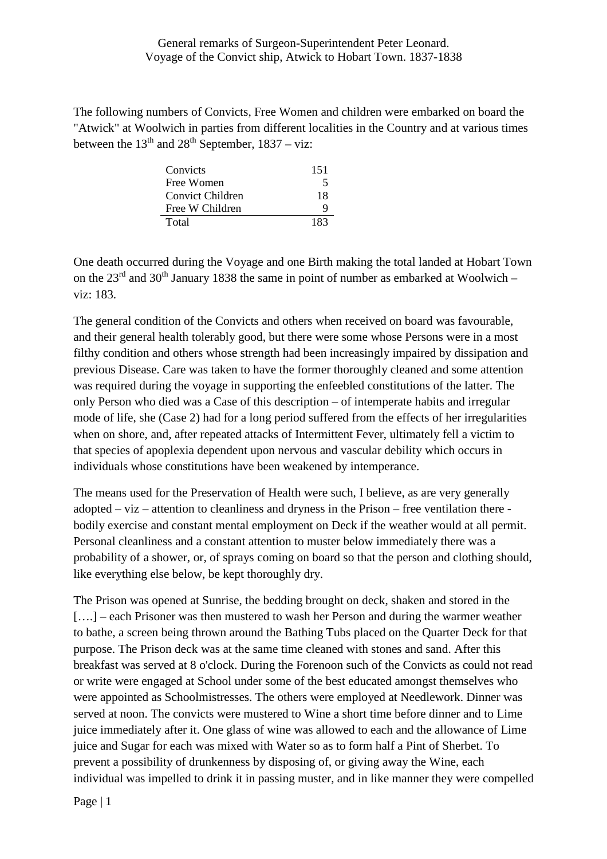## General remarks of Surgeon-Superintendent Peter Leonard. Voyage of the Convict ship, Atwick to Hobart Town. 1837-1838

The following numbers of Convicts, Free Women and children were embarked on board the "Atwick" at Woolwich in parties from different localities in the Country and at various times between the  $13<sup>th</sup>$  and  $28<sup>th</sup>$  September,  $1837 - viz$ :

| Convicts         | 151 |
|------------------|-----|
| Free Women       | 5   |
| Convict Children | 18  |
| Free W Children  | Q   |
| Total            | 183 |

One death occurred during the Voyage and one Birth making the total landed at Hobart Town on the  $23<sup>rd</sup>$  and  $30<sup>th</sup>$  January 1838 the same in point of number as embarked at Woolwich – viz: 183.

The general condition of the Convicts and others when received on board was favourable, and their general health tolerably good, but there were some whose Persons were in a most filthy condition and others whose strength had been increasingly impaired by dissipation and previous Disease. Care was taken to have the former thoroughly cleaned and some attention was required during the voyage in supporting the enfeebled constitutions of the latter. The only Person who died was a Case of this description – of intemperate habits and irregular mode of life, she (Case 2) had for a long period suffered from the effects of her irregularities when on shore, and, after repeated attacks of Intermittent Fever, ultimately fell a victim to that species of apoplexia dependent upon nervous and vascular debility which occurs in individuals whose constitutions have been weakened by intemperance.

The means used for the Preservation of Health were such, I believe, as are very generally adopted – viz – attention to cleanliness and dryness in the Prison – free ventilation there bodily exercise and constant mental employment on Deck if the weather would at all permit. Personal cleanliness and a constant attention to muster below immediately there was a probability of a shower, or, of sprays coming on board so that the person and clothing should, like everything else below, be kept thoroughly dry.

The Prison was opened at Sunrise, the bedding brought on deck, shaken and stored in the [....] – each Prisoner was then mustered to wash her Person and during the warmer weather to bathe, a screen being thrown around the Bathing Tubs placed on the Quarter Deck for that purpose. The Prison deck was at the same time cleaned with stones and sand. After this breakfast was served at 8 o'clock. During the Forenoon such of the Convicts as could not read or write were engaged at School under some of the best educated amongst themselves who were appointed as Schoolmistresses. The others were employed at Needlework. Dinner was served at noon. The convicts were mustered to Wine a short time before dinner and to Lime juice immediately after it. One glass of wine was allowed to each and the allowance of Lime juice and Sugar for each was mixed with Water so as to form half a Pint of Sherbet. To prevent a possibility of drunkenness by disposing of, or giving away the Wine, each individual was impelled to drink it in passing muster, and in like manner they were compelled

Page | 1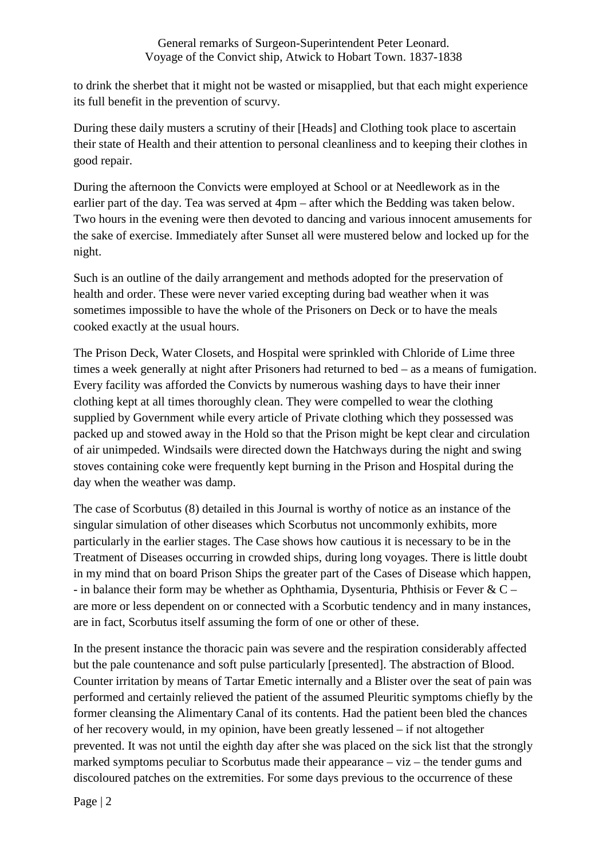to drink the sherbet that it might not be wasted or misapplied, but that each might experience its full benefit in the prevention of scurvy.

During these daily musters a scrutiny of their [Heads] and Clothing took place to ascertain their state of Health and their attention to personal cleanliness and to keeping their clothes in good repair.

During the afternoon the Convicts were employed at School or at Needlework as in the earlier part of the day. Tea was served at 4pm – after which the Bedding was taken below. Two hours in the evening were then devoted to dancing and various innocent amusements for the sake of exercise. Immediately after Sunset all were mustered below and locked up for the night.

Such is an outline of the daily arrangement and methods adopted for the preservation of health and order. These were never varied excepting during bad weather when it was sometimes impossible to have the whole of the Prisoners on Deck or to have the meals cooked exactly at the usual hours.

The Prison Deck, Water Closets, and Hospital were sprinkled with Chloride of Lime three times a week generally at night after Prisoners had returned to bed – as a means of fumigation. Every facility was afforded the Convicts by numerous washing days to have their inner clothing kept at all times thoroughly clean. They were compelled to wear the clothing supplied by Government while every article of Private clothing which they possessed was packed up and stowed away in the Hold so that the Prison might be kept clear and circulation of air unimpeded. Windsails were directed down the Hatchways during the night and swing stoves containing coke were frequently kept burning in the Prison and Hospital during the day when the weather was damp.

The case of Scorbutus (8) detailed in this Journal is worthy of notice as an instance of the singular simulation of other diseases which Scorbutus not uncommonly exhibits, more particularly in the earlier stages. The Case shows how cautious it is necessary to be in the Treatment of Diseases occurring in crowded ships, during long voyages. There is little doubt in my mind that on board Prison Ships the greater part of the Cases of Disease which happen, - in balance their form may be whether as Ophthamia, Dysenturia, Phthisis or Fever &  $C$ are more or less dependent on or connected with a Scorbutic tendency and in many instances, are in fact, Scorbutus itself assuming the form of one or other of these.

In the present instance the thoracic pain was severe and the respiration considerably affected but the pale countenance and soft pulse particularly [presented]. The abstraction of Blood. Counter irritation by means of Tartar Emetic internally and a Blister over the seat of pain was performed and certainly relieved the patient of the assumed Pleuritic symptoms chiefly by the former cleansing the Alimentary Canal of its contents. Had the patient been bled the chances of her recovery would, in my opinion, have been greatly lessened – if not altogether prevented. It was not until the eighth day after she was placed on the sick list that the strongly marked symptoms peculiar to Scorbutus made their appearance – viz – the tender gums and discoloured patches on the extremities. For some days previous to the occurrence of these